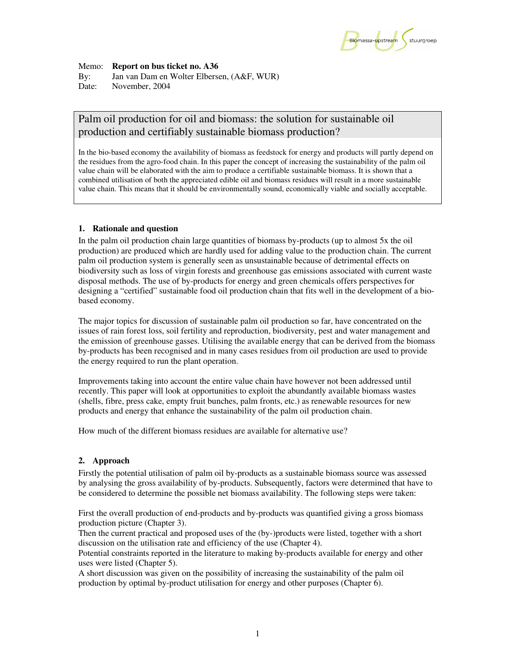

Memo: **Report on bus ticket no. A36** By: Jan van Dam en Wolter Elbersen, (A&F, WUR) Date:November, 2004

# Palm oil production for oil and biomass: the solution for sustainable oil production and certifiably sustainable biomass production?

In the bio-based economy the availability of biomass as feedstock for energy and products will partly depend on the residues from the agro-food chain. In this paper the concept of increasing the sustainability of the palm oil value chain will be elaborated with the aim to produce a certifiable sustainable biomass. It is shown that a combined utilisation of both the appreciated edible oil and biomass residues will result in a more sustainable value chain. This means that it should be environmentally sound, economically viable and socially acceptable.

# **1. Rationale and question**

In the palm oil production chain large quantities of biomass by-products (up to almost 5x the oil production) are produced which are hardly used for adding value to the production chain. The current palm oil production system is generally seen as unsustainable because of detrimental effects on biodiversity such as loss of virgin forests and greenhouse gas emissions associated with current waste disposal methods. The use of by-products for energy and green chemicals offers perspectives for designing a "certified" sustainable food oil production chain that fits well in the development of a biobased economy.

The major topics for discussion of sustainable palm oil production so far, have concentrated on the issues of rain forest loss, soil fertility and reproduction, biodiversity, pest and water management and the emission of greenhouse gasses. Utilising the available energy that can be derived from the biomass by-products has been recognised and in many cases residues from oil production are used to provide the energy required to run the plant operation.

Improvements taking into account the entire value chain have however not been addressed until recently. This paper will look at opportunities to exploit the abundantly available biomass wastes (shells, fibre, press cake, empty fruit bunches, palm fronts, etc.) as renewable resources for new products and energy that enhance the sustainability of the palm oil production chain.

How much of the different biomass residues are available for alternative use?

# **2. Approach**

Firstly the potential utilisation of palm oil by-products as a sustainable biomass source was assessed by analysing the gross availability of by-products. Subsequently, factors were determined that have to be considered to determine the possible net biomass availability. The following steps were taken:

First the overall production of end-products and by-products was quantified giving a gross biomass production picture (Chapter 3).

Then the current practical and proposed uses of the (by-)products were listed, together with a short discussion on the utilisation rate and efficiency of the use (Chapter 4).

Potential constraints reported in the literature to making by-products available for energy and other uses were listed (Chapter 5).

A short discussion was given on the possibility of increasing the sustainability of the palm oil production by optimal by-product utilisation for energy and other purposes (Chapter 6).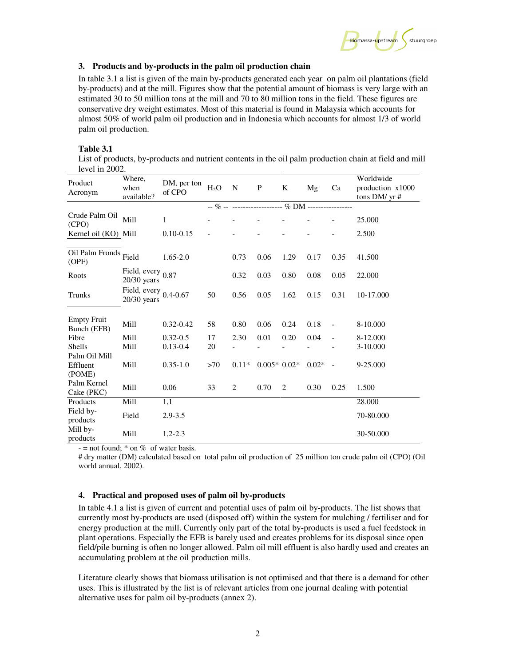

#### **3. Products and by-products in the palm oil production chain**

In table 3.1 a list is given of the main by-products generated each year on palm oil plantations (field by-products) and at the mill. Figures show that the potential amount of biomass is very large with an estimated 30 to 50 million tons at the mill and 70 to 80 million tons in the field. These figures are conservative dry weight estimates. Most of this material is found in Malaysia which accounts for almost 50% of world palm oil production and in Indonesia which accounts for almost 1/3 of world palm oil production.

# **Table 3.1**

List of products, by-products and nutrient contents in the oil palm production chain at field and mill level in 2002.

| Product<br>Acronym                | Where,<br>when<br>available?              | DM, per ton<br>of CPO | $H_2O$ | $\mathbf N$ | ${\bf P}$     | $\bf K$ | Mg         | Ca                       | Worldwide<br>production x1000<br>tons DM/ yr # |
|-----------------------------------|-------------------------------------------|-----------------------|--------|-------------|---------------|---------|------------|--------------------------|------------------------------------------------|
|                                   |                                           |                       |        |             |               |         |            |                          |                                                |
| Crude Palm Oil<br>(CPO)           | Mill                                      | $\mathbf{1}$          |        |             |               |         |            |                          | 25.000                                         |
| Kernel oil (KO) Mill              |                                           | $0.10 - 0.15$         |        |             |               |         |            |                          | 2.500                                          |
| Oil Palm Fronds Field<br>(OPF)    |                                           | $1.65 - 2.0$          |        | 0.73        | 0.06          | 1.29    | 0.17       | 0.35                     | 41.500                                         |
| Roots                             | Field, every 0.87<br>$20/30$ years        |                       |        | 0.32        | 0.03          | 0.80    | 0.08       | 0.05                     | 22.000                                         |
| Trunks                            | Field, every $0.4$ -0.67<br>$20/30$ years |                       | 50     | 0.56        | 0.05          | 1.62    | 0.15       | 0.31                     | 10-17.000                                      |
| <b>Empty Fruit</b><br>Bunch (EFB) | Mill                                      | $0.32 - 0.42$         | 58     | 0.80        | 0.06          | 0.24    | 0.18       | $\overline{\phantom{a}}$ | 8-10.000                                       |
| Fibre                             | Mill                                      | $0.32 - 0.5$          | 17     | 2.30        | 0.01          | 0.20    | 0.04       | $\overline{\phantom{a}}$ | 8-12.000                                       |
| Shells                            | Mill                                      | $0.13 - 0.4$          | 20     |             |               |         |            |                          | 3-10.000                                       |
| Palm Oil Mill                     |                                           |                       |        |             |               |         |            |                          |                                                |
| Effluent<br>(POME)                | Mill                                      | $0.35 - 1.0$          | >70    | $0.11*$     | $0.005*0.02*$ |         | $0.02^*$ - |                          | 9-25.000                                       |
| Palm Kernel<br>Cake (PKC)         | Mill                                      | 0.06                  | 33     | 2           | 0.70          | 2       | 0.30       | 0.25                     | 1.500                                          |
| Products                          | Mill                                      | 1,1                   |        |             |               |         |            |                          | 28.000                                         |
| Field by-<br>products             | Field                                     | $2.9 - 3.5$           |        |             |               |         |            |                          | 70-80.000                                      |
| Mill by-<br>products              | Mill                                      | $1,2-2.3$             |        |             |               |         |            |                          | 30-50.000                                      |

 $-$  = not found:  $*$  on  $\%$  of water basis.

# dry matter (DM) calculated based on total palm oil production of 25 million ton crude palm oil (CPO) (Oil world annual, 2002).

# **4. Practical and proposed uses of palm oil by-products**

In table 4.1 a list is given of current and potential uses of palm oil by-products. The list shows that currently most by-products are used (disposed off) within the system for mulching / fertiliser and for energy production at the mill. Currently only part of the total by-products is used a fuel feedstock in plant operations. Especially the EFB is barely used and creates problems for its disposal since open field/pile burning is often no longer allowed. Palm oil mill effluent is also hardly used and creates an accumulating problem at the oil production mills.

Literature clearly shows that biomass utilisation is not optimised and that there is a demand for other uses. This is illustrated by the list is of relevant articles from one journal dealing with potential alternative uses for palm oil by-products (annex 2).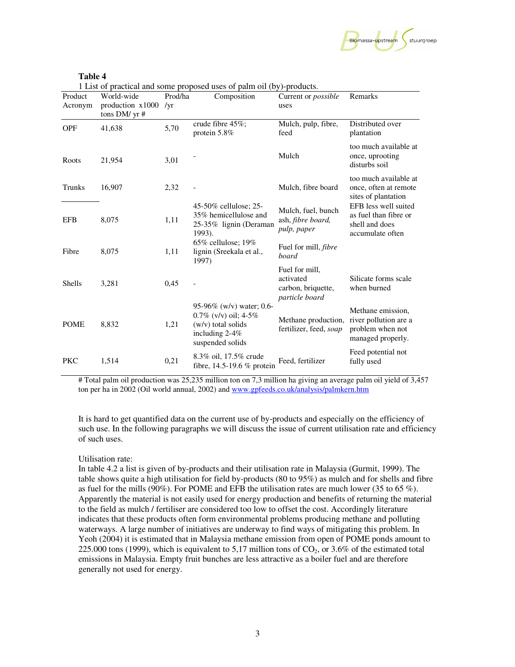

| Ι<br>II<br>×<br>٠ |
|-------------------|
|-------------------|

1 List of practical and some proposed uses of palm oil (by)-products.

| Product<br>Acronym | World-wide<br>production x1000<br>tons DM/ yr # | Prod/ha<br>/yr | Composition                                                                                                       | Current or <i>possible</i><br>uses                                  | Remarks                                                                             |
|--------------------|-------------------------------------------------|----------------|-------------------------------------------------------------------------------------------------------------------|---------------------------------------------------------------------|-------------------------------------------------------------------------------------|
| <b>OPF</b>         | 41,638                                          | 5,70           | crude fibre 45%;<br>protein 5.8%                                                                                  | Mulch, pulp, fibre,<br>feed                                         | Distributed over<br>plantation                                                      |
| Roots              | 21,954                                          | 3,01           |                                                                                                                   | Mulch                                                               | too much available at<br>once, uprooting<br>disturbs soil                           |
| Trunks             | 16,907                                          | 2,32           |                                                                                                                   | Mulch, fibre board                                                  | too much available at<br>once, often at remote<br>sites of plantation               |
| <b>EFB</b>         | 8,075                                           | 1,11           | 45-50% cellulose; 25-<br>35% hemicellulose and<br>25-35% lignin (Deraman<br>1993).                                | Mulch, fuel, bunch<br>ash, fibre board,<br>pulp, paper              | EFB less well suited<br>as fuel than fibre or<br>shell and does<br>accumulate often |
| Fibre              | 8,075                                           | 1,11           | $65\%$ cellulose; 19%<br>lignin (Sreekala et al.,<br>1997)                                                        | Fuel for mill, <i>fibre</i><br>board                                |                                                                                     |
| <b>Shells</b>      | 3,281                                           | 0,45           |                                                                                                                   | Fuel for mill,<br>activated<br>carbon, briquette,<br>particle board | Silicate forms scale<br>when burned                                                 |
| <b>POME</b>        | 8,832                                           | 1,21           | 95-96% (w/v) water; 0.6-<br>$0.7\%$ (v/v) oil; 4-5%<br>(w/v) total solids<br>including $2-4%$<br>suspended solids | Methane production,<br>fertilizer, feed, soap                       | Methane emission,<br>river pollution are a<br>problem when not<br>managed properly. |
| <b>PKC</b>         | 1,514                                           | 0,21           | 8.3% oil, 17.5% crude<br>fibre, $14.5-19.6\%$ protein                                                             | Feed, fertilizer                                                    | Feed potential not<br>fully used                                                    |

# Total palm oil production was 25,235 million ton on 7,3 million ha giving an average palm oil yield of 3,457 ton per ha in 2002 (Oil world annual, 2002) and www.gpfeeds.co.uk/analysis/palmkern.htm

It is hard to get quantified data on the current use of by-products and especially on the efficiency of such use. In the following paragraphs we will discuss the issue of current utilisation rate and efficiency of such uses.

#### Utilisation rate:

In table 4.2 a list is given of by-products and their utilisation rate in Malaysia (Gurmit, 1999). The table shows quite a high utilisation for field by-products (80 to 95%) as mulch and for shells and fibre as fuel for the mills (90%). For POME and EFB the utilisation rates are much lower (35 to 65 %). Apparently the material is not easily used for energy production and benefits of returning the material to the field as mulch / fertiliser are considered too low to offset the cost. Accordingly literature indicates that these products often form environmental problems producing methane and polluting waterways. A large number of initiatives are underway to find ways of mitigating this problem. In Yeoh (2004) it is estimated that in Malaysia methane emission from open of POME ponds amount to 225.000 tons (1999), which is equivalent to 5,17 million tons of  $CO<sub>2</sub>$ , or 3.6% of the estimated total emissions in Malaysia. Empty fruit bunches are less attractive as a boiler fuel and are therefore generally not used for energy.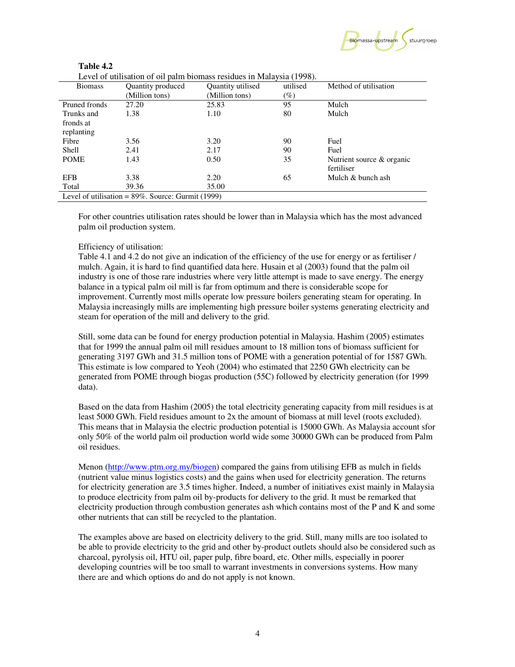

| 1 avie 4.2 |                   |                                                                       |          |
|------------|-------------------|-----------------------------------------------------------------------|----------|
|            |                   | Level of utilisation of oil palm biomass residues in Malaysia (1998). |          |
| 3iomass    | Quantity produced | Quantity utilised                                                     | utilised |

| <b>Biomass</b>                                        | Quantity produced | Quantity utilised | utilised | Method of utilisation        |
|-------------------------------------------------------|-------------------|-------------------|----------|------------------------------|
|                                                       | (Million tons)    | (Million tons)    | $(\%)$   |                              |
| Pruned fronds                                         | 27.20             | 25.83             | 95       | Mulch                        |
| Trunks and                                            | 1.38              | 1.10              | 80       | Mulch                        |
| fronds at                                             |                   |                   |          |                              |
| replanting                                            |                   |                   |          |                              |
| Fibre                                                 | 3.56              | 3.20              | 90       | Fuel                         |
| Shell                                                 | 2.41              | 2.17              | 90       | Fuel                         |
| <b>POME</b>                                           | 1.43              | 0.50              | 35       | Nutrient source $\&$ organic |
|                                                       |                   |                   |          | fertiliser                   |
| <b>EFB</b>                                            | 3.38              | 2.20              | 65       | Mulch & bunch ash            |
| Total                                                 | 39.36             | 35.00             |          |                              |
| Level of utilisation = $89\%$ . Source: Gurmit (1999) |                   |                   |          |                              |

For other countries utilisation rates should be lower than in Malaysia which has the most advanced palm oil production system.

# Efficiency of utilisation:

**Table 4.2** 

Table 4.1 and 4.2 do not give an indication of the efficiency of the use for energy or as fertiliser / mulch. Again, it is hard to find quantified data here. Husain et al (2003) found that the palm oil industry is one of those rare industries where very little attempt is made to save energy. The energy balance in a typical palm oil mill is far from optimum and there is considerable scope for improvement. Currently most mills operate low pressure boilers generating steam for operating. In Malaysia increasingly mills are implementing high pressure boiler systems generating electricity and steam for operation of the mill and delivery to the grid.

Still, some data can be found for energy production potential in Malaysia. Hashim (2005) estimates that for 1999 the annual palm oil mill residues amount to 18 million tons of biomass sufficient for generating 3197 GWh and 31.5 million tons of POME with a generation potential of for 1587 GWh. This estimate is low compared to Yeoh (2004) who estimated that 2250 GWh electricity can be generated from POME through biogas production (55C) followed by electricity generation (for 1999 data).

Based on the data from Hashim (2005) the total electricity generating capacity from mill residues is at least 5000 GWh. Field residues amount to 2x the amount of biomass at mill level (roots excluded). This means that in Malaysia the electric production potential is 15000 GWh. As Malaysia account sfor only 50% of the world palm oil production world wide some 30000 GWh can be produced from Palm oil residues.

Menon (http://www.ptm.org.my/biogen) compared the gains from utilising EFB as mulch in fields (nutrient value minus logistics costs) and the gains when used for electricity generation. The returns for electricity generation are 3.5 times higher. Indeed, a number of initiatives exist mainly in Malaysia to produce electricity from palm oil by-products for delivery to the grid. It must be remarked that electricity production through combustion generates ash which contains most of the P and K and some other nutrients that can still be recycled to the plantation.

The examples above are based on electricity delivery to the grid. Still, many mills are too isolated to be able to provide electricity to the grid and other by-product outlets should also be considered such as charcoal, pyrolysis oil, HTU oil, paper pulp, fibre board, etc. Other mills, especially in poorer developing countries will be too small to warrant investments in conversions systems. How many there are and which options do and do not apply is not known.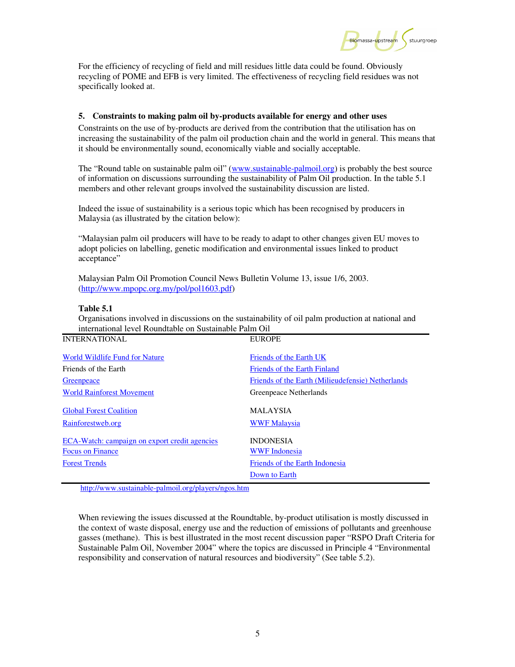Biomassa-upstream stuurgroep

For the efficiency of recycling of field and mill residues little data could be found. Obviously recycling of POME and EFB is very limited. The effectiveness of recycling field residues was not specifically looked at.

# **5. Constraints to making palm oil by-products available for energy and other uses**

Constraints on the use of by-products are derived from the contribution that the utilisation has on increasing the sustainability of the palm oil production chain and the world in general. This means that it should be environmentally sound, economically viable and socially acceptable.

The "Round table on sustainable palm oil" (www.sustainable-palmoil.org) is probably the best source of information on discussions surrounding the sustainability of Palm Oil production. In the table 5.1 members and other relevant groups involved the sustainability discussion are listed.

Indeed the issue of sustainability is a serious topic which has been recognised by producers in Malaysia (as illustrated by the citation below):

"Malaysian palm oil producers will have to be ready to adapt to other changes given EU moves to adopt policies on labelling, genetic modification and environmental issues linked to product acceptance"

Malaysian Palm Oil Promotion Council News Bulletin Volume 13, issue 1/6, 2003. (http://www.mpopc.org.my/pol/pol1603.pdf)

#### **Table 5.1**

Organisations involved in discussions on the sustainability of oil palm production at national and international level Roundtable on Sustainable Palm Oil

| <b>INTERNATIONAL</b>                                                     | <b>EUROPE</b>                                     |
|--------------------------------------------------------------------------|---------------------------------------------------|
| World Wildlife Fund for Nature                                           | Friends of the Earth UK                           |
| Friends of the Earth                                                     | Friends of the Earth Finland                      |
| Greenpeace                                                               | Friends of the Earth (Milieudefensie) Netherlands |
| <b>World Rainforest Movement</b>                                         | Greenpeace Netherlands                            |
| <b>Global Forest Coalition</b><br>Rainforestweb.org                      | <b>MALAYSIA</b><br><b>WWF Malaysia</b>            |
| ECA-Watch: campaign on export credit agencies<br><b>Focus on Finance</b> | <b>INDONESIA</b><br><b>WWF</b> Indonesia          |
| <b>Forest Trends</b>                                                     | Friends of the Earth Indonesia                    |
|                                                                          | Down to Earth                                     |
|                                                                          |                                                   |

http://www.sustainable-palmoil.org/players/ngos.htm

When reviewing the issues discussed at the Roundtable, by-product utilisation is mostly discussed in the context of waste disposal, energy use and the reduction of emissions of pollutants and greenhouse gasses (methane). This is best illustrated in the most recent discussion paper "RSPO Draft Criteria for Sustainable Palm Oil, November 2004" where the topics are discussed in Principle 4 "Environmental responsibility and conservation of natural resources and biodiversity" (See table 5.2).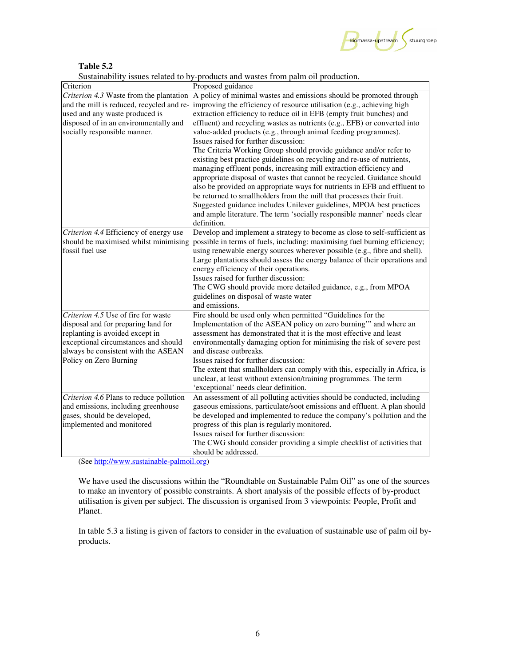

**Table 5.2** 

Sustainability issues related to by-products and wastes from palm oil production.

| Criterion                                                                      | Proposed guidance                                                                                                                                     |
|--------------------------------------------------------------------------------|-------------------------------------------------------------------------------------------------------------------------------------------------------|
| Criterion 4.3 Waste from the plantation                                        | A policy of minimal wastes and emissions should be promoted through                                                                                   |
| and the mill is reduced, recycled and re-                                      | improving the efficiency of resource utilisation (e.g., achieving high                                                                                |
| used and any waste produced is                                                 | extraction efficiency to reduce oil in EFB (empty fruit bunches) and                                                                                  |
| disposed of in an environmentally and                                          | effluent) and recycling wastes as nutrients (e.g., EFB) or converted into                                                                             |
| socially responsible manner.                                                   | value-added products (e.g., through animal feeding programmes).                                                                                       |
|                                                                                | Issues raised for further discussion:                                                                                                                 |
|                                                                                | The Criteria Working Group should provide guidance and/or refer to                                                                                    |
|                                                                                | existing best practice guidelines on recycling and re-use of nutrients,                                                                               |
|                                                                                | managing effluent ponds, increasing mill extraction efficiency and                                                                                    |
|                                                                                | appropriate disposal of wastes that cannot be recycled. Guidance should                                                                               |
|                                                                                | also be provided on appropriate ways for nutrients in EFB and effluent to                                                                             |
|                                                                                | be returned to smallholders from the mill that processes their fruit.                                                                                 |
|                                                                                | Suggested guidance includes Unilever guidelines, MPOA best practices                                                                                  |
|                                                                                | and ample literature. The term 'socially responsible manner' needs clear                                                                              |
|                                                                                | definition.                                                                                                                                           |
| Criterion 4.4 Efficiency of energy use                                         | Develop and implement a strategy to become as close to self-sufficient as                                                                             |
| should be maximised whilst minimising                                          | possible in terms of fuels, including: maximising fuel burning efficiency;                                                                            |
| fossil fuel use                                                                | using renewable energy sources wherever possible (e.g., fibre and shell).                                                                             |
|                                                                                | Large plantations should assess the energy balance of their operations and                                                                            |
|                                                                                | energy efficiency of their operations.                                                                                                                |
|                                                                                | Issues raised for further discussion:                                                                                                                 |
|                                                                                | The CWG should provide more detailed guidance, e.g., from MPOA                                                                                        |
|                                                                                | guidelines on disposal of waste water                                                                                                                 |
|                                                                                | and emissions.                                                                                                                                        |
| Criterion 4.5 Use of fire for waste                                            | Fire should be used only when permitted "Guidelines for the                                                                                           |
| disposal and for preparing land for                                            | Implementation of the ASEAN policy on zero burning" and where an                                                                                      |
| replanting is avoided except in                                                | assessment has demonstrated that it is the most effective and least                                                                                   |
| exceptional circumstances and should                                           | environmentally damaging option for minimising the risk of severe pest                                                                                |
| always be consistent with the ASEAN                                            | and disease outbreaks.                                                                                                                                |
| Policy on Zero Burning                                                         | Issues raised for further discussion:                                                                                                                 |
|                                                                                | The extent that smallholders can comply with this, especially in Africa, is                                                                           |
|                                                                                | unclear, at least without extension/training programmes. The term                                                                                     |
|                                                                                | 'exceptional' needs clear definition.                                                                                                                 |
| Criterion 4.6 Plans to reduce pollution<br>and emissions, including greenhouse | An assessment of all polluting activities should be conducted, including<br>gaseous emissions, particulate/soot emissions and effluent. A plan should |
| gases, should be developed,                                                    | be developed and implemented to reduce the company's pollution and the                                                                                |
| implemented and monitored                                                      | progress of this plan is regularly monitored.                                                                                                         |
|                                                                                | Issues raised for further discussion:                                                                                                                 |
|                                                                                | The CWG should consider providing a simple checklist of activities that                                                                               |
|                                                                                | should be addressed.                                                                                                                                  |
|                                                                                |                                                                                                                                                       |

(See http://www.sustainable-palmoil.org)

We have used the discussions within the "Roundtable on Sustainable Palm Oil" as one of the sources to make an inventory of possible constraints. A short analysis of the possible effects of by-product utilisation is given per subject. The discussion is organised from 3 viewpoints: People, Profit and Planet.

In table 5.3 a listing is given of factors to consider in the evaluation of sustainable use of palm oil byproducts.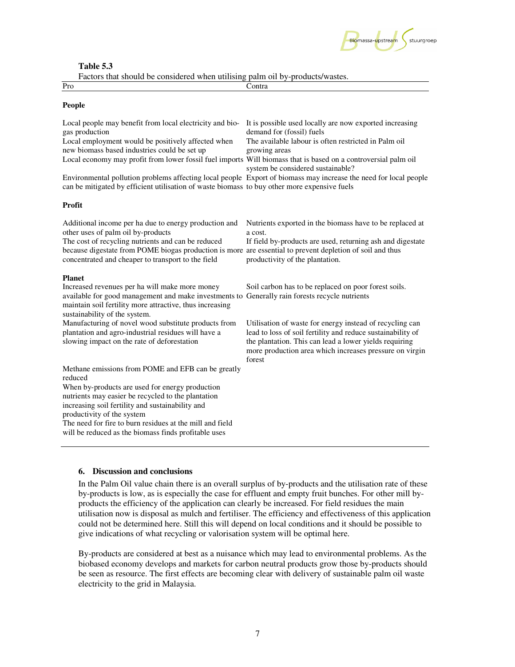

#### **Table 5.3**

Factors that should be considered when utilising palm oil by-products/wastes.

| I accord that divided be conditioned which attribute pathle on by production wasted. |                                                                                                                  |  |  |
|--------------------------------------------------------------------------------------|------------------------------------------------------------------------------------------------------------------|--|--|
| Pro                                                                                  | Contra                                                                                                           |  |  |
| <b>People</b>                                                                        |                                                                                                                  |  |  |
|                                                                                      | Local people may benefit from local electricity and bio- It is possible used locally are now exported increasing |  |  |

| gas production<br>Local employment would be positively affected when<br>new biomass based industries could be set up<br>Local economy may profit from lower fossil fuel imports Will biomass that is based on a controversial palm oil<br>can be mitigated by efficient utilisation of waste biomass to buy other more expensive fuels | demand for (fossil) fuels<br>The available labour is often restricted in Palm oil<br>growing areas<br>system be considered sustainable?<br>Environmental pollution problems affecting local people Export of biomass may increase the need for local people |
|----------------------------------------------------------------------------------------------------------------------------------------------------------------------------------------------------------------------------------------------------------------------------------------------------------------------------------------|-------------------------------------------------------------------------------------------------------------------------------------------------------------------------------------------------------------------------------------------------------------|
| <b>Profit</b>                                                                                                                                                                                                                                                                                                                          |                                                                                                                                                                                                                                                             |
| Additional income per ha due to energy production and<br>other uses of palm oil by-products<br>The cost of recycling nutrients and can be reduced<br>because digestate from POME biogas production is more are essential to prevent depletion of soil and thus<br>concentrated and cheaper to transport to the field                   | Nutrients exported in the biomass have to be replaced at<br>a cost.<br>If field by-products are used, returning ash and digestate<br>productivity of the plantation.                                                                                        |
| <b>Planet</b><br>Increased revenues per ha will make more money<br>available for good management and make investments to Generally rain forests recycle nutrients<br>maintain soil fertility more attractive, thus increasing<br>sustainability of the system.                                                                         | Soil carbon has to be replaced on poor forest soils.                                                                                                                                                                                                        |
| Manufacturing of novel wood substitute products from<br>plantation and agro-industrial residues will have a<br>slowing impact on the rate of deforestation                                                                                                                                                                             | Utilisation of waste for energy instead of recycling can<br>lead to loss of soil fertility and reduce sustainability of<br>the plantation. This can lead a lower yields requiring<br>more production area which increases pressure on virgin<br>forest      |
| Methane emissions from POME and EFB can be greatly<br>reduced<br>When by-products are used for energy production<br>nutrients may easier be recycled to the plantation<br>increasing soil fertility and sustainability and<br>productivity of the system                                                                               |                                                                                                                                                                                                                                                             |
| The need for fire to hum regiding at the mill and field                                                                                                                                                                                                                                                                                |                                                                                                                                                                                                                                                             |

The need for fire to burn residues at the mill and field will be reduced as the biomass finds profitable uses

#### **6. Discussion and conclusions**

In the Palm Oil value chain there is an overall surplus of by-products and the utilisation rate of these by-products is low, as is especially the case for effluent and empty fruit bunches. For other mill byproducts the efficiency of the application can clearly be increased. For field residues the main utilisation now is disposal as mulch and fertiliser. The efficiency and effectiveness of this application could not be determined here. Still this will depend on local conditions and it should be possible to give indications of what recycling or valorisation system will be optimal here.

By-products are considered at best as a nuisance which may lead to environmental problems. As the biobased economy develops and markets for carbon neutral products grow those by-products should be seen as resource. The first effects are becoming clear with delivery of sustainable palm oil waste electricity to the grid in Malaysia.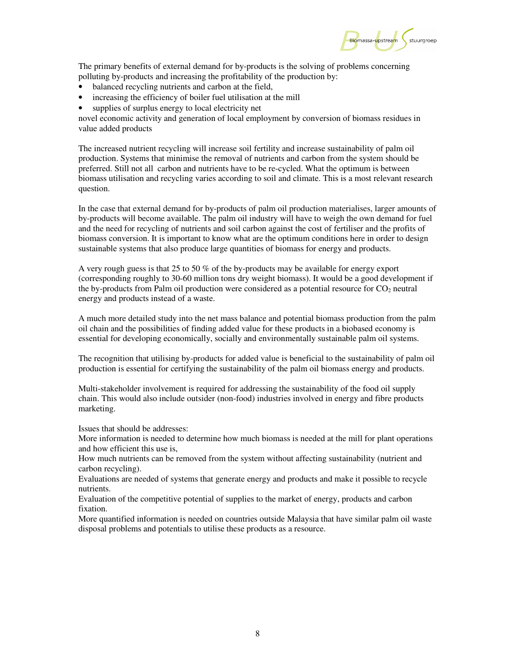

The primary benefits of external demand for by-products is the solving of problems concerning polluting by-products and increasing the profitability of the production by:

- balanced recycling nutrients and carbon at the field,
- increasing the efficiency of boiler fuel utilisation at the mill
- supplies of surplus energy to local electricity net

novel economic activity and generation of local employment by conversion of biomass residues in value added products

The increased nutrient recycling will increase soil fertility and increase sustainability of palm oil production. Systems that minimise the removal of nutrients and carbon from the system should be preferred. Still not all carbon and nutrients have to be re-cycled. What the optimum is between biomass utilisation and recycling varies according to soil and climate. This is a most relevant research question.

In the case that external demand for by-products of palm oil production materialises, larger amounts of by-products will become available. The palm oil industry will have to weigh the own demand for fuel and the need for recycling of nutrients and soil carbon against the cost of fertiliser and the profits of biomass conversion. It is important to know what are the optimum conditions here in order to design sustainable systems that also produce large quantities of biomass for energy and products.

A very rough guess is that 25 to 50 % of the by-products may be available for energy export (corresponding roughly to 30-60 million tons dry weight biomass). It would be a good development if the by-products from Palm oil production were considered as a potential resource for  $CO<sub>2</sub>$  neutral energy and products instead of a waste.

A much more detailed study into the net mass balance and potential biomass production from the palm oil chain and the possibilities of finding added value for these products in a biobased economy is essential for developing economically, socially and environmentally sustainable palm oil systems.

The recognition that utilising by-products for added value is beneficial to the sustainability of palm oil production is essential for certifying the sustainability of the palm oil biomass energy and products.

Multi-stakeholder involvement is required for addressing the sustainability of the food oil supply chain. This would also include outsider (non-food) industries involved in energy and fibre products marketing.

Issues that should be addresses:

More information is needed to determine how much biomass is needed at the mill for plant operations and how efficient this use is,

How much nutrients can be removed from the system without affecting sustainability (nutrient and carbon recycling).

Evaluations are needed of systems that generate energy and products and make it possible to recycle nutrients.

Evaluation of the competitive potential of supplies to the market of energy, products and carbon fixation.

More quantified information is needed on countries outside Malaysia that have similar palm oil waste disposal problems and potentials to utilise these products as a resource.